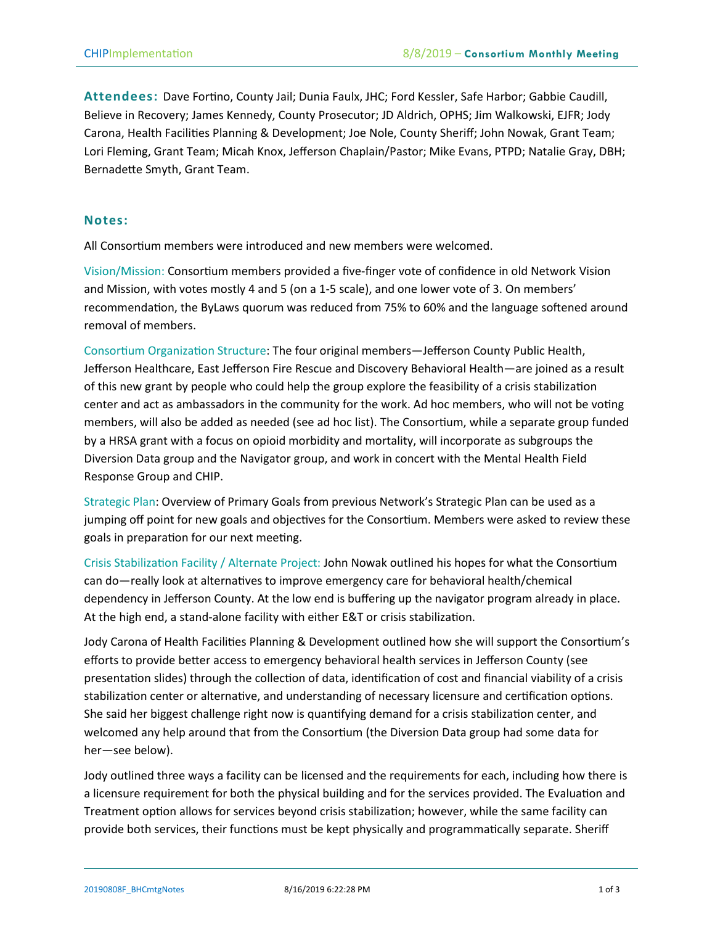**Attendees:** Dave Fortino, County Jail; Dunia Faulx, JHC; Ford Kessler, Safe Harbor; Gabbie Caudill, Believe in Recovery; James Kennedy, County Prosecutor; JD Aldrich, OPHS; Jim Walkowski, EJFR; Jody Carona, Health Facilities Planning & Development; Joe Nole, County Sheriff; John Nowak, Grant Team; Lori Fleming, Grant Team; Micah Knox, Jefferson Chaplain/Pastor; Mike Evans, PTPD; Natalie Gray, DBH; Bernadette Smyth, Grant Team.

## **Notes:**

All Consortium members were introduced and new members were welcomed.

Vision/Mission: Consortium members provided a five-finger vote of confidence in old Network Vision and Mission, with votes mostly 4 and 5 (on a 1-5 scale), and one lower vote of 3. On members' recommendation, the ByLaws quorum was reduced from 75% to 60% and the language softened around removal of members.

Consortium Organization Structure: The four original members—Jefferson County Public Health, Jefferson Healthcare, East Jefferson Fire Rescue and Discovery Behavioral Health—are joined as a result of this new grant by people who could help the group explore the feasibility of a crisis stabilization center and act as ambassadors in the community for the work. Ad hoc members, who will not be voting members, will also be added as needed (see ad hoc list). The Consortium, while a separate group funded by a HRSA grant with a focus on opioid morbidity and mortality, will incorporate as subgroups the Diversion Data group and the Navigator group, and work in concert with the Mental Health Field Response Group and CHIP.

Strategic Plan: Overview of Primary Goals from previous Network's Strategic Plan can be used as a jumping off point for new goals and objectives for the Consortium. Members were asked to review these goals in preparation for our next meeting.

Crisis Stabilization Facility / Alternate Project: John Nowak outlined his hopes for what the Consortium can do—really look at alternatives to improve emergency care for behavioral health/chemical dependency in Jefferson County. At the low end is buffering up the navigator program already in place. At the high end, a stand-alone facility with either E&T or crisis stabilization.

Jody Carona of Health Facilities Planning & Development outlined how she will support the Consortium's efforts to provide better access to emergency behavioral health services in Jefferson County (see presentation slides) through the collection of data, identification of cost and financial viability of a crisis stabilization center or alternative, and understanding of necessary licensure and certification options. She said her biggest challenge right now is quantifying demand for a crisis stabilization center, and welcomed any help around that from the Consortium (the Diversion Data group had some data for her—see below).

Jody outlined three ways a facility can be licensed and the requirements for each, including how there is a licensure requirement for both the physical building and for the services provided. The Evaluation and Treatment option allows for services beyond crisis stabilization; however, while the same facility can provide both services, their functions must be kept physically and programmatically separate. Sheriff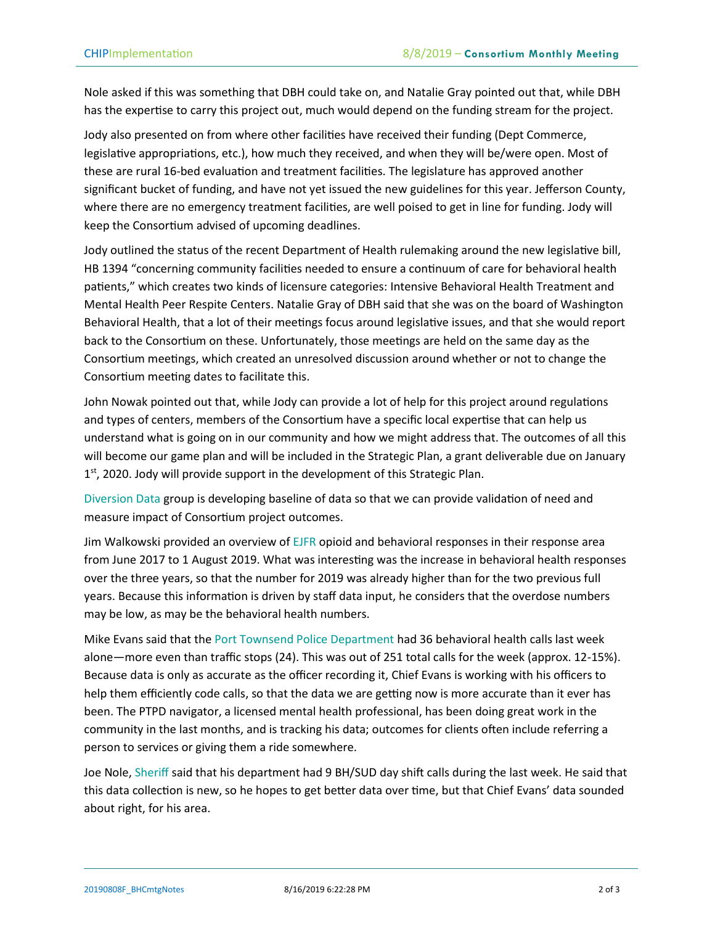Nole asked if this was something that DBH could take on, and Natalie Gray pointed out that, while DBH has the expertise to carry this project out, much would depend on the funding stream for the project.

Jody also presented on from where other facilities have received their funding (Dept Commerce, legislative appropriations, etc.), how much they received, and when they will be/were open. Most of these are rural 16-bed evaluation and treatment facilities. The legislature has approved another significant bucket of funding, and have not yet issued the new guidelines for this year. Jefferson County, where there are no emergency treatment facilities, are well poised to get in line for funding. Jody will keep the Consortium advised of upcoming deadlines.

Jody outlined the status of the recent Department of Health rulemaking around the new legislative bill, HB 1394 "concerning community facilities needed to ensure a continuum of care for behavioral health patients," which creates two kinds of licensure categories: Intensive Behavioral Health Treatment and Mental Health Peer Respite Centers. Natalie Gray of DBH said that she was on the board of Washington Behavioral Health, that a lot of their meetings focus around legislative issues, and that she would report back to the Consortium on these. Unfortunately, those meetings are held on the same day as the Consortium meetings, which created an unresolved discussion around whether or not to change the Consortium meeting dates to facilitate this.

John Nowak pointed out that, while Jody can provide a lot of help for this project around regulations and types of centers, members of the Consortium have a specific local expertise that can help us understand what is going on in our community and how we might address that. The outcomes of all this will become our game plan and will be included in the Strategic Plan, a grant deliverable due on January 1<sup>st</sup>, 2020. Jody will provide support in the development of this Strategic Plan.

Diversion Data group is developing baseline of data so that we can provide validation of need and measure impact of Consortium project outcomes.

Jim Walkowski provided an overview of EJFR opioid and behavioral responses in their response area from June 2017 to 1 August 2019. What was interesting was the increase in behavioral health responses over the three years, so that the number for 2019 was already higher than for the two previous full years. Because this information is driven by staff data input, he considers that the overdose numbers may be low, as may be the behavioral health numbers.

Mike Evans said that the Port Townsend Police Department had 36 behavioral health calls last week alone—more even than traffic stops (24). This was out of 251 total calls for the week (approx. 12-15%). Because data is only as accurate as the officer recording it, Chief Evans is working with his officers to help them efficiently code calls, so that the data we are getting now is more accurate than it ever has been. The PTPD navigator, a licensed mental health professional, has been doing great work in the community in the last months, and is tracking his data; outcomes for clients often include referring a person to services or giving them a ride somewhere.

Joe Nole, Sheriff said that his department had 9 BH/SUD day shift calls during the last week. He said that this data collection is new, so he hopes to get better data over time, but that Chief Evans' data sounded about right, for his area.